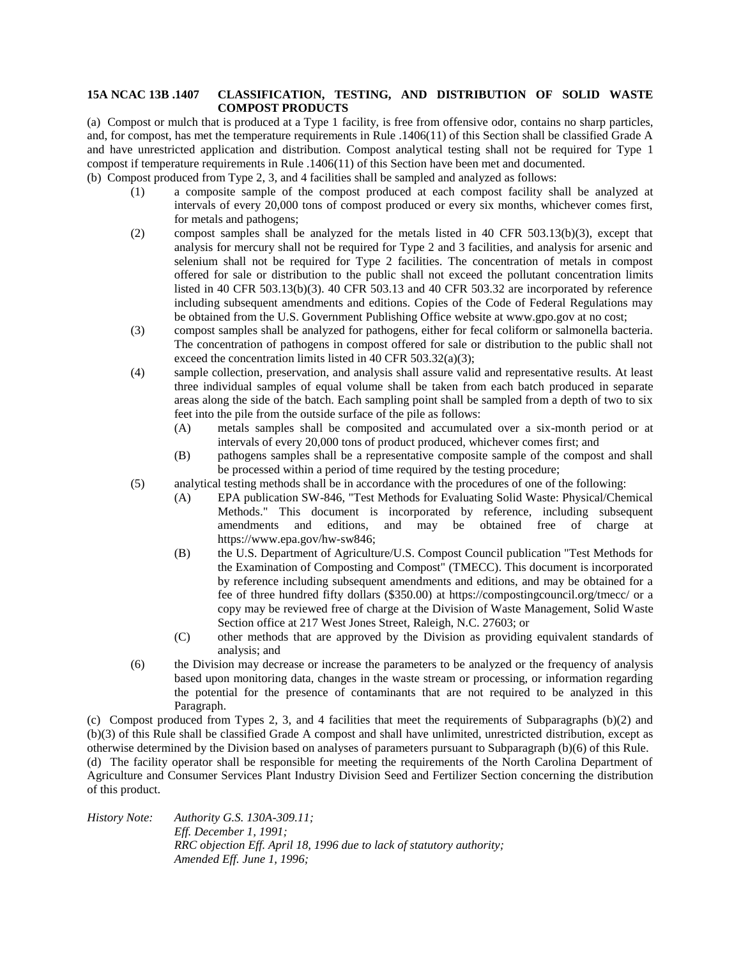## **15A NCAC 13B .1407 CLASSIFICATION, TESTING, AND DISTRIBUTION OF SOLID WASTE COMPOST PRODUCTS**

(a) Compost or mulch that is produced at a Type 1 facility, is free from offensive odor, contains no sharp particles, and, for compost, has met the temperature requirements in Rule .1406(11) of this Section shall be classified Grade A and have unrestricted application and distribution. Compost analytical testing shall not be required for Type 1 compost if temperature requirements in Rule .1406(11) of this Section have been met and documented. (b) Compost produced from Type 2, 3, and 4 facilities shall be sampled and analyzed as follows:

- (1) a composite sample of the compost produced at each compost facility shall be analyzed at intervals of every 20,000 tons of compost produced or every six months, whichever comes first, for metals and pathogens;
- (2) compost samples shall be analyzed for the metals listed in 40 CFR 503.13(b)(3), except that analysis for mercury shall not be required for Type 2 and 3 facilities, and analysis for arsenic and selenium shall not be required for Type 2 facilities. The concentration of metals in compost offered for sale or distribution to the public shall not exceed the pollutant concentration limits listed in 40 CFR 503.13(b)(3). 40 CFR 503.13 and 40 CFR 503.32 are incorporated by reference including subsequent amendments and editions. Copies of the Code of Federal Regulations may be obtained from the U.S. Government Publishing Office website at www.gpo.gov at no cost;
- (3) compost samples shall be analyzed for pathogens, either for fecal coliform or salmonella bacteria. The concentration of pathogens in compost offered for sale or distribution to the public shall not exceed the concentration limits listed in 40 CFR 503.32(a)(3);
- (4) sample collection, preservation, and analysis shall assure valid and representative results. At least three individual samples of equal volume shall be taken from each batch produced in separate areas along the side of the batch. Each sampling point shall be sampled from a depth of two to six feet into the pile from the outside surface of the pile as follows:
	- (A) metals samples shall be composited and accumulated over a six-month period or at intervals of every 20,000 tons of product produced, whichever comes first; and
	- (B) pathogens samples shall be a representative composite sample of the compost and shall be processed within a period of time required by the testing procedure;
- (5) analytical testing methods shall be in accordance with the procedures of one of the following:
	- (A) EPA publication SW-846, "Test Methods for Evaluating Solid Waste: Physical/Chemical Methods." This document is incorporated by reference, including subsequent amendments and editions, and may be obtained free of charge at https://www.epa.gov/hw-sw846;
	- (B) the U.S. Department of Agriculture/U.S. Compost Council publication "Test Methods for the Examination of Composting and Compost" (TMECC). This document is incorporated by reference including subsequent amendments and editions, and may be obtained for a fee of three hundred fifty dollars (\$350.00) at https://compostingcouncil.org/tmecc/ or a copy may be reviewed free of charge at the Division of Waste Management, Solid Waste Section office at 217 West Jones Street, Raleigh, N.C. 27603; or
	- (C) other methods that are approved by the Division as providing equivalent standards of analysis; and
- (6) the Division may decrease or increase the parameters to be analyzed or the frequency of analysis based upon monitoring data, changes in the waste stream or processing, or information regarding the potential for the presence of contaminants that are not required to be analyzed in this Paragraph.

(c) Compost produced from Types 2, 3, and 4 facilities that meet the requirements of Subparagraphs (b)(2) and (b)(3) of this Rule shall be classified Grade A compost and shall have unlimited, unrestricted distribution, except as otherwise determined by the Division based on analyses of parameters pursuant to Subparagraph (b)(6) of this Rule.

(d) The facility operator shall be responsible for meeting the requirements of the North Carolina Department of Agriculture and Consumer Services Plant Industry Division Seed and Fertilizer Section concerning the distribution of this product.

*History Note: Authority G.S. 130A-309.11; Eff. December 1, 1991; RRC objection Eff. April 18, 1996 due to lack of statutory authority; Amended Eff. June 1, 1996;*